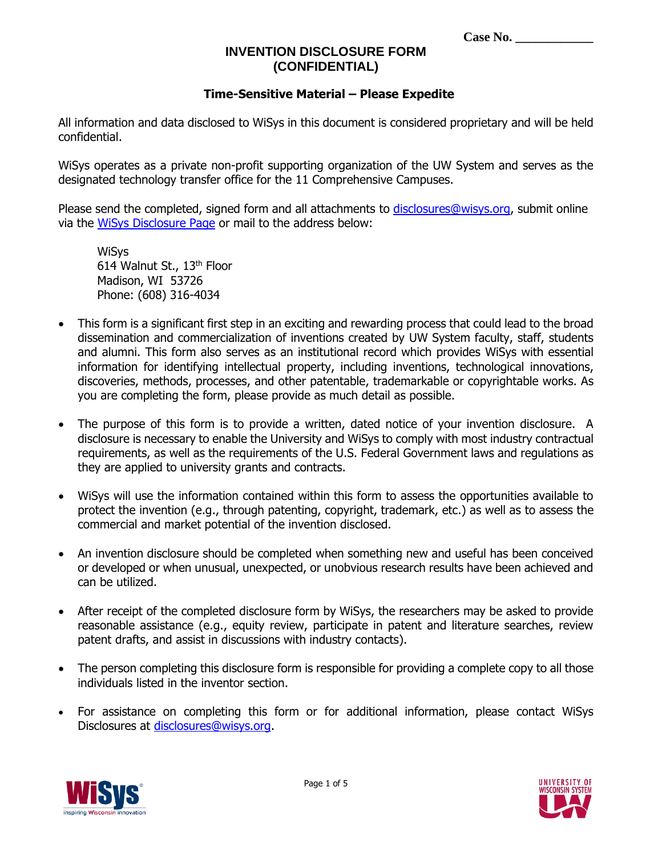| <b>Case No.</b> |  |
|-----------------|--|
|-----------------|--|

### **Time-Sensitive Material – Please Expedite**

All information and data disclosed to WiSys in this document is considered proprietary and will be held confidential.

WiSys operates as a private non-profit supporting organization of the UW System and serves as the designated technology transfer office for the 11 Comprehensive Campuses.

Please send the completed, signed form and all attachments to [disclosures@wisys.org,](mailto:disclosures@wisys.org) submit online via the [WiSys Disclosure Page](http://www.wisys.org/realize-your-idea/invention-disclosure/disclosing-your-invention) or mail to the address below:

**WiSys** 614 Walnut St., 13<sup>th</sup> Floor Madison, WI 53726 Phone: (608) 316-4034

- This form is a significant first step in an exciting and rewarding process that could lead to the broad dissemination and commercialization of inventions created by UW System faculty, staff, students and alumni. This form also serves as an institutional record which provides WiSys with essential information for identifying intellectual property, including inventions, technological innovations, discoveries, methods, processes, and other patentable, trademarkable or copyrightable works. As you are completing the form, please provide as much detail as possible.
- The purpose of this form is to provide a written, dated notice of your invention disclosure. A disclosure is necessary to enable the University and WiSys to comply with most industry contractual requirements, as well as the requirements of the U.S. Federal Government laws and regulations as they are applied to university grants and contracts.
- WiSys will use the information contained within this form to assess the opportunities available to protect the invention (e.g., through patenting, copyright, trademark, etc.) as well as to assess the commercial and market potential of the invention disclosed.
- An invention disclosure should be completed when something new and useful has been conceived or developed or when unusual, unexpected, or unobvious research results have been achieved and can be utilized.
- After receipt of the completed disclosure form by WiSys, the researchers may be asked to provide reasonable assistance (e.g., equity review, participate in patent and literature searches, review patent drafts, and assist in discussions with industry contacts).
- The person completing this disclosure form is responsible for providing a complete copy to all those individuals listed in the inventor section.
- For assistance on completing this form or for additional information, please contact WiSys Disclosures at [disclosures@wisys.org.](mailto:disclosures@wisys.org)



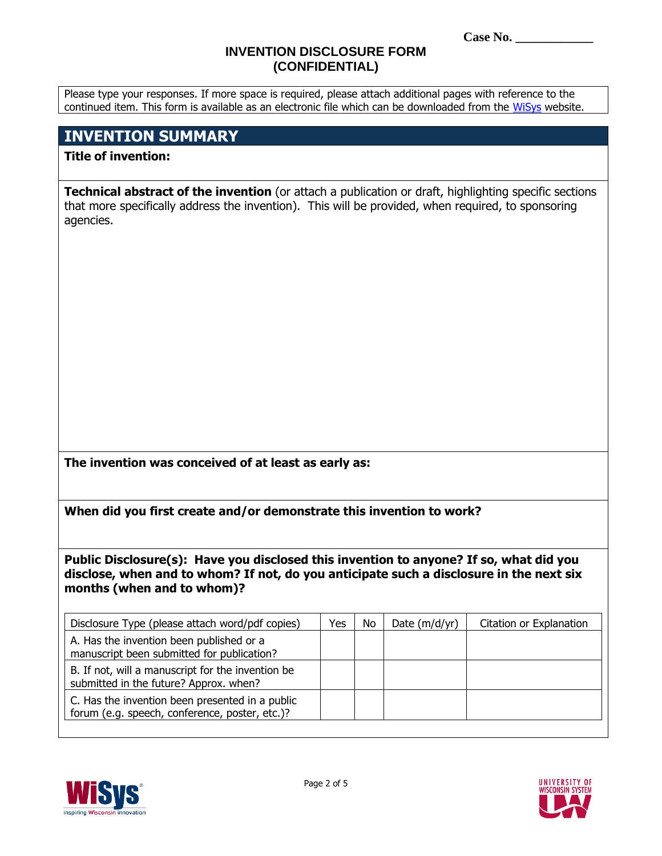Please type your responses. If more space is required, please attach additional pages with reference to the continued item. This form is available as an electronic file which can be downloaded from the [WiSys](http://www.wisys.org/realize-your-idea/invention-disclosure/disclosing-your-invention) website.

## **INVENTION SUMMARY**

### **Title of invention:**

**Technical abstract of the invention** (or attach a publication or draft, highlighting specific sections that more specifically address the invention). This will be provided, when required, to sponsoring agencies.

**The invention was conceived of at least as early as:**

**When did you first create and/or demonstrate this invention to work?**

**Public Disclosure(s): Have you disclosed this invention to anyone? If so, what did you disclose, when and to whom? If not, do you anticipate such a disclosure in the next six months (when and to whom)?**

| Disclosure Type (please attach word/pdf copies)                                                   | Yes | No. | Date $(m/d/yr)$ | Citation or Explanation |
|---------------------------------------------------------------------------------------------------|-----|-----|-----------------|-------------------------|
| A. Has the invention been published or a<br>manuscript been submitted for publication?            |     |     |                 |                         |
| B. If not, will a manuscript for the invention be<br>submitted in the future? Approx. when?       |     |     |                 |                         |
| C. Has the invention been presented in a public<br>forum (e.g. speech, conference, poster, etc.)? |     |     |                 |                         |

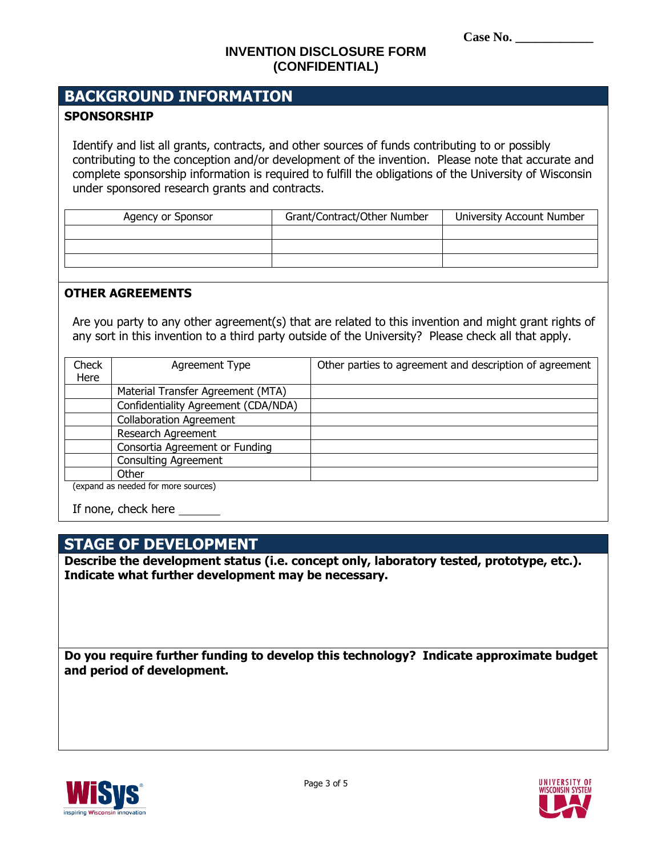# **BACKGROUND INFORMATION**

### **SPONSORSHIP**

Identify and list all grants, contracts, and other sources of funds contributing to or possibly contributing to the conception and/or development of the invention. Please note that accurate and complete sponsorship information is required to fulfill the obligations of the University of Wisconsin under sponsored research grants and contracts.

| Agency or Sponsor | Grant/Contract/Other Number | University Account Number |
|-------------------|-----------------------------|---------------------------|
|                   |                             |                           |
|                   |                             |                           |
|                   |                             |                           |

#### **OTHER AGREEMENTS**

Are you party to any other agreement(s) that are related to this invention and might grant rights of any sort in this invention to a third party outside of the University? Please check all that apply.

| Check | Agreement Type                      | Other parties to agreement and description of agreement |
|-------|-------------------------------------|---------------------------------------------------------|
| Here  |                                     |                                                         |
|       | Material Transfer Agreement (MTA)   |                                                         |
|       | Confidentiality Agreement (CDA/NDA) |                                                         |
|       | <b>Collaboration Agreement</b>      |                                                         |
|       | Research Agreement                  |                                                         |
|       | Consortia Agreement or Funding      |                                                         |
|       | <b>Consulting Agreement</b>         |                                                         |
|       | Other                               |                                                         |
|       | (expand as needed for more sources) |                                                         |

If none, check here

## **STAGE OF DEVELOPMENT**

**Describe the development status (i.e. concept only, laboratory tested, prototype, etc.). Indicate what further development may be necessary.**

**Do you require further funding to develop this technology? Indicate approximate budget and period of development.**

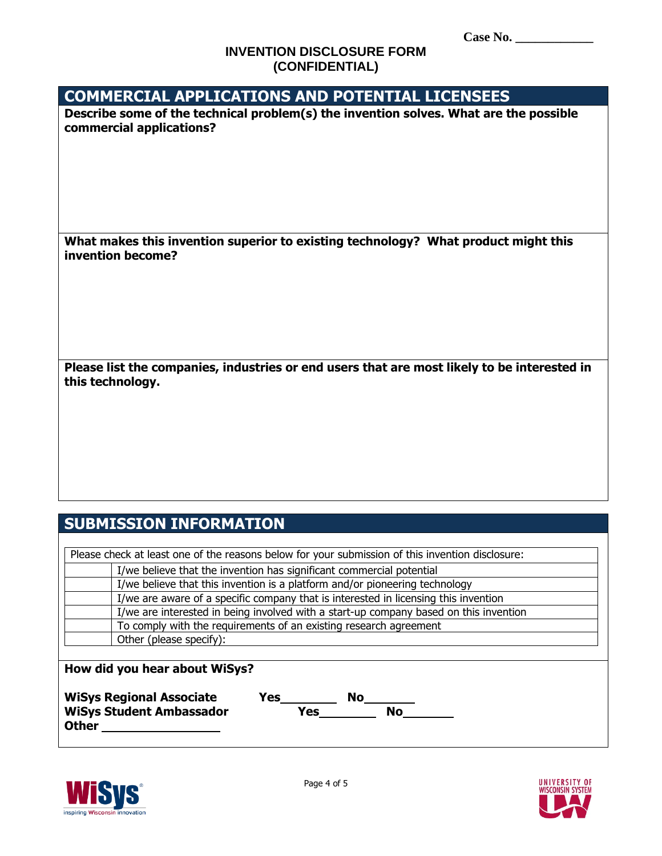| <b>COMMERCIAL APPLICATIONS AND POTENTIAL LICENSEES</b>                                                                                                     |
|------------------------------------------------------------------------------------------------------------------------------------------------------------|
| Describe some of the technical problem(s) the invention solves. What are the possible                                                                      |
| commercial applications?                                                                                                                                   |
|                                                                                                                                                            |
|                                                                                                                                                            |
|                                                                                                                                                            |
|                                                                                                                                                            |
|                                                                                                                                                            |
|                                                                                                                                                            |
| What makes this invention superior to existing technology? What product might this<br>invention become?                                                    |
|                                                                                                                                                            |
|                                                                                                                                                            |
|                                                                                                                                                            |
|                                                                                                                                                            |
|                                                                                                                                                            |
|                                                                                                                                                            |
| Please list the companies, industries or end users that are most likely to be interested in                                                                |
| this technology.                                                                                                                                           |
|                                                                                                                                                            |
|                                                                                                                                                            |
|                                                                                                                                                            |
|                                                                                                                                                            |
|                                                                                                                                                            |
|                                                                                                                                                            |
|                                                                                                                                                            |
|                                                                                                                                                            |
| <b>SUBMISSION INFORMATION</b>                                                                                                                              |
|                                                                                                                                                            |
| Please check at least one of the reasons below for your submission of this invention disclosure:                                                           |
| I/we believe that the invention has significant commercial potential                                                                                       |
| I/we believe that this invention is a platform and/or pioneering technology                                                                                |
| I/we are aware of a specific company that is interested in licensing this invention                                                                        |
| I/we are interested in being involved with a start-up company based on this invention<br>To comply with the requirements of an existing research agreement |
| Other (please specify):                                                                                                                                    |
|                                                                                                                                                            |
| How did you hear about WiSys?                                                                                                                              |
|                                                                                                                                                            |
| <b>WiSys Regional Associate</b><br>Yes<br><b>No</b>                                                                                                        |



**Other** \_\_\_\_\_\_\_\_\_\_\_\_\_\_\_\_\_\_

**WiSys Student Ambassador Yes** Yes No